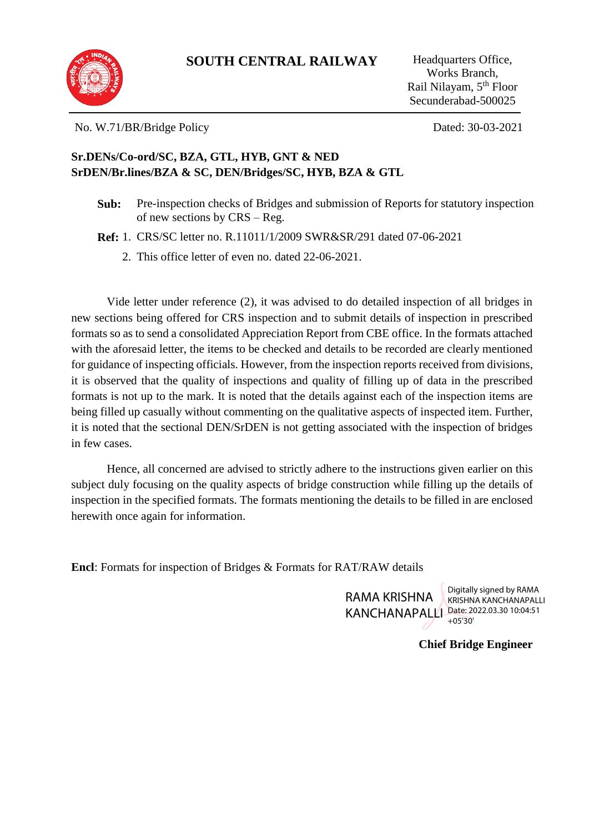

No. W.71/BR/Bridge Policy Dated: 30-03-2021

#### **Sr.DENs/Co-ord/SC, BZA, GTL, HYB, GNT & NED SrDEN/Br.lines/BZA & SC, DEN/Bridges/SC, HYB, BZA & GTL**

**Sub:** Pre-inspection checks of Bridges and submission of Reports for statutory inspection of new sections by CRS – Reg.

**Ref:** 1. CRS/SC letter no. R.11011/1/2009 SWR&SR/291 dated 07-06-2021

2. This office letter of even no. dated 22-06-2021.

Vide letter under reference (2), it was advised to do detailed inspection of all bridges in new sections being offered for CRS inspection and to submit details of inspection in prescribed formats so as to send a consolidated Appreciation Report from CBE office. In the formats attached with the aforesaid letter, the items to be checked and details to be recorded are clearly mentioned for guidance of inspecting officials. However, from the inspection reports received from divisions, it is observed that the quality of inspections and quality of filling up of data in the prescribed formats is not up to the mark. It is noted that the details against each of the inspection items are being filled up casually without commenting on the qualitative aspects of inspected item. Further, it is noted that the sectional DEN/SrDEN is not getting associated with the inspection of bridges in few cases.

Hence, all concerned are advised to strictly adhere to the instructions given earlier on this subject duly focusing on the quality aspects of bridge construction while filling up the details of inspection in the specified formats. The formats mentioning the details to be filled in are enclosed herewith once again for information.

**Encl**: Formats for inspection of Bridges & Formats for RAT/RAW details

RAMA KRISHNA KANCHANAPALLI Date: 2022.03.30 10:04:51

Digitally signed by RAMA KRISHNA KANCHANAPALLI +05'30'

#### **Chief Bridge Engineer**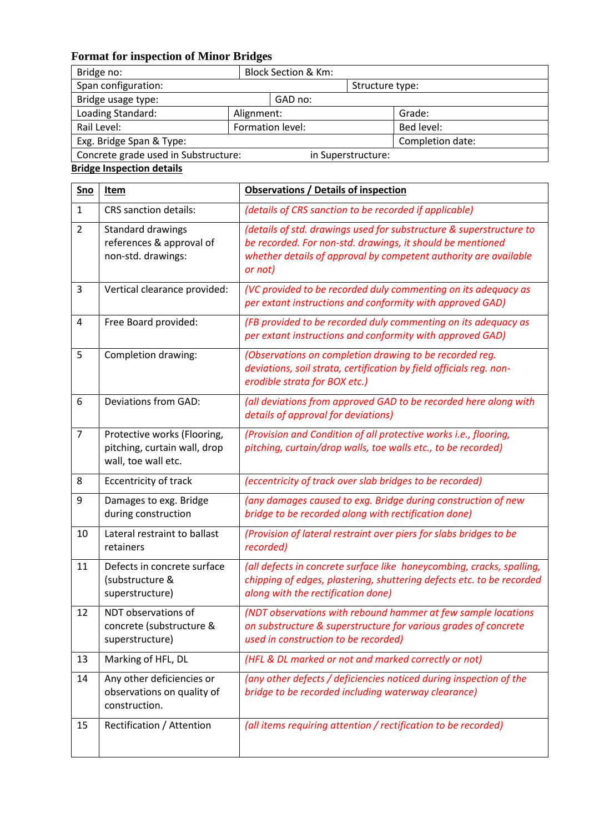## **Format for inspection of Minor Bridges**

| Bridge no:                           |                    | <b>Block Section &amp; Km:</b> |                 |                  |
|--------------------------------------|--------------------|--------------------------------|-----------------|------------------|
| Span configuration:                  |                    |                                | Structure type: |                  |
| Bridge usage type:                   |                    | GAD no:                        |                 |                  |
| Loading Standard:                    |                    | Alignment:                     |                 | Grade:           |
| Rail Level:                          | Formation level:   |                                |                 | Bed level:       |
| Exg. Bridge Span & Type:             |                    |                                |                 | Completion date: |
| Concrete grade used in Substructure: | in Superstructure: |                                |                 |                  |

### **Bridge Inspection details**

| Sno            | <b>Item</b>                                                                        | <b>Observations / Details of inspection</b>                                                                                                                                                                      |
|----------------|------------------------------------------------------------------------------------|------------------------------------------------------------------------------------------------------------------------------------------------------------------------------------------------------------------|
| $\mathbf{1}$   | <b>CRS</b> sanction details:                                                       | (details of CRS sanction to be recorded if applicable)                                                                                                                                                           |
| $\overline{2}$ | Standard drawings<br>references & approval of<br>non-std. drawings:                | (details of std. drawings used for substructure & superstructure to<br>be recorded. For non-std. drawings, it should be mentioned<br>whether details of approval by competent authority are available<br>or not) |
| 3              | Vertical clearance provided:                                                       | (VC provided to be recorded duly commenting on its adequacy as<br>per extant instructions and conformity with approved GAD)                                                                                      |
| 4              | Free Board provided:                                                               | (FB provided to be recorded duly commenting on its adequacy as<br>per extant instructions and conformity with approved GAD)                                                                                      |
| 5              | Completion drawing:                                                                | (Observations on completion drawing to be recorded reg.<br>deviations, soil strata, certification by field officials reg. non-<br>erodible strata for BOX etc.)                                                  |
| 6              | Deviations from GAD:                                                               | (all deviations from approved GAD to be recorded here along with<br>details of approval for deviations)                                                                                                          |
| $\overline{7}$ | Protective works (Flooring,<br>pitching, curtain wall, drop<br>wall, toe wall etc. | (Provision and Condition of all protective works i.e., flooring,<br>pitching, curtain/drop walls, toe walls etc., to be recorded)                                                                                |
| 8              | Eccentricity of track                                                              | (eccentricity of track over slab bridges to be recorded)                                                                                                                                                         |
| 9              | Damages to exg. Bridge<br>during construction                                      | (any damages caused to exg. Bridge during construction of new<br>bridge to be recorded along with rectification done)                                                                                            |
| 10             | Lateral restraint to ballast<br>retainers                                          | (Provision of lateral restraint over piers for slabs bridges to be<br>recorded)                                                                                                                                  |
| 11             | Defects in concrete surface<br>(substructure &<br>superstructure)                  | (all defects in concrete surface like honeycombing, cracks, spalling,<br>chipping of edges, plastering, shuttering defects etc. to be recorded<br>along with the rectification done)                             |
| 12             | NDT observations of<br>concrete (substructure &<br>superstructure)                 | (NDT observations with rebound hammer at few sample locations<br>on substructure & superstructure for various grades of concrete<br>used in construction to be recorded)                                         |
| 13             | Marking of HFL, DL                                                                 | (HFL & DL marked or not and marked correctly or not)                                                                                                                                                             |
| 14             | Any other deficiencies or<br>observations on quality of<br>construction.           | (any other defects / deficiencies noticed during inspection of the<br>bridge to be recorded including waterway clearance)                                                                                        |
| 15             | Rectification / Attention                                                          | (all items requiring attention / rectification to be recorded)                                                                                                                                                   |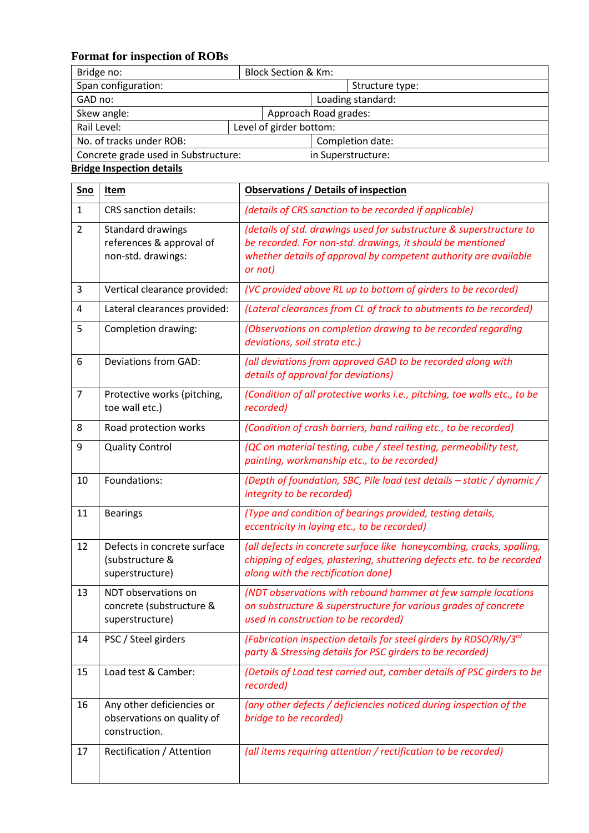### **Format for inspection of ROBs**

| Bridge no:                           | <b>Block Section &amp; Km:</b> |                         |                       |                    |  |
|--------------------------------------|--------------------------------|-------------------------|-----------------------|--------------------|--|
| Span configuration:                  |                                |                         |                       | Structure type:    |  |
| GAD no:                              |                                |                         |                       | Loading standard:  |  |
| Skew angle:                          |                                |                         | Approach Road grades: |                    |  |
| Rail Level:                          |                                | Level of girder bottom: |                       |                    |  |
| No. of tracks under ROB:             |                                |                         | Completion date:      |                    |  |
| Concrete grade used in Substructure: |                                |                         |                       | in Superstructure: |  |

#### **Bridge Inspection details**

| Sno                     | Item                                                                     | <b>Observations / Details of inspection</b>                                                                                                                                                                      |  |  |  |
|-------------------------|--------------------------------------------------------------------------|------------------------------------------------------------------------------------------------------------------------------------------------------------------------------------------------------------------|--|--|--|
| $\mathbf{1}$            | <b>CRS</b> sanction details:                                             | (details of CRS sanction to be recorded if applicable)                                                                                                                                                           |  |  |  |
| $\overline{2}$          | Standard drawings<br>references & approval of<br>non-std. drawings:      | (details of std. drawings used for substructure & superstructure to<br>be recorded. For non-std. drawings, it should be mentioned<br>whether details of approval by competent authority are available<br>or not) |  |  |  |
| 3                       | Vertical clearance provided:                                             | (VC provided above RL up to bottom of girders to be recorded)                                                                                                                                                    |  |  |  |
| $\overline{\mathbf{4}}$ | Lateral clearances provided:                                             | (Lateral clearances from CL of track to abutments to be recorded)                                                                                                                                                |  |  |  |
| 5                       | Completion drawing:                                                      | (Observations on completion drawing to be recorded regarding<br>deviations, soil strata etc.)                                                                                                                    |  |  |  |
| 6                       | Deviations from GAD:                                                     | (all deviations from approved GAD to be recorded along with<br>details of approval for deviations)                                                                                                               |  |  |  |
| $\overline{7}$          | Protective works (pitching,<br>toe wall etc.)                            | (Condition of all protective works i.e., pitching, toe walls etc., to be<br>recorded)                                                                                                                            |  |  |  |
| 8                       | Road protection works                                                    | (Condition of crash barriers, hand railing etc., to be recorded)                                                                                                                                                 |  |  |  |
| 9                       | <b>Quality Control</b>                                                   | (QC on material testing, cube / steel testing, permeability test,<br>painting, workmanship etc., to be recorded)                                                                                                 |  |  |  |
| 10                      | Foundations:                                                             | (Depth of foundation, SBC, Pile load test details - static / dynamic /<br>integrity to be recorded)                                                                                                              |  |  |  |
| 11                      | <b>Bearings</b>                                                          | (Type and condition of bearings provided, testing details,<br>eccentricity in laying etc., to be recorded)                                                                                                       |  |  |  |
| 12                      | Defects in concrete surface<br>(substructure &<br>superstructure)        | (all defects in concrete surface like honeycombing, cracks, spalling,<br>chipping of edges, plastering, shuttering defects etc. to be recorded<br>along with the rectification done)                             |  |  |  |
| 13                      | NDT observations on<br>concrete (substructure &<br>superstructure)       | (NDT observations with rebound hammer at few sample locations<br>on substructure & superstructure for various grades of concrete<br>used in construction to be recorded)                                         |  |  |  |
| 14                      | PSC / Steel girders                                                      | (Fabrication inspection details for steel girders by RDSO/Rly/3rd<br>party & Stressing details for PSC girders to be recorded)                                                                                   |  |  |  |
| 15                      | Load test & Camber:                                                      | (Details of Load test carried out, camber details of PSC girders to be<br>recorded)                                                                                                                              |  |  |  |
| 16                      | Any other deficiencies or<br>observations on quality of<br>construction. | (any other defects / deficiencies noticed during inspection of the<br>bridge to be recorded)                                                                                                                     |  |  |  |
| 17                      | Rectification / Attention                                                | (all items requiring attention / rectification to be recorded)                                                                                                                                                   |  |  |  |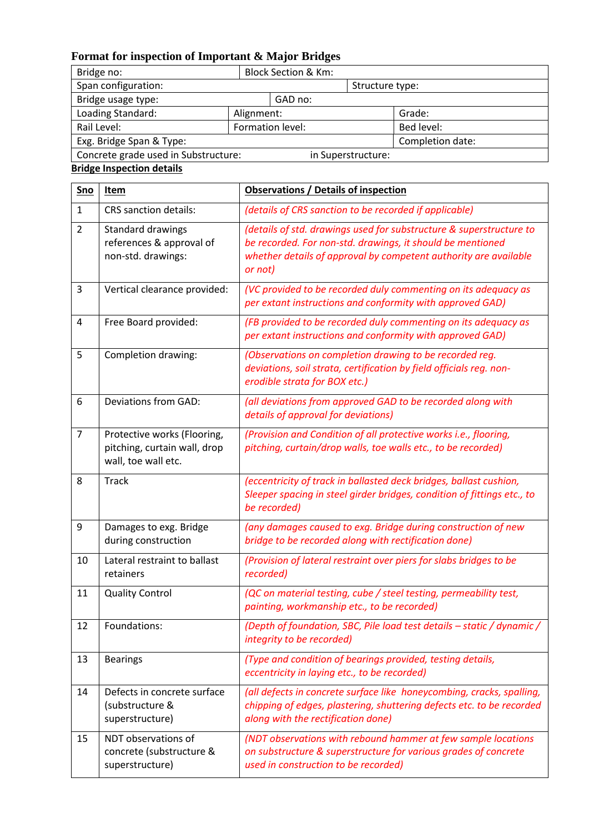## **Format for inspection of Important & Major Bridges**

| Bridge no:                           | <b>Block Section &amp; Km:</b> |                 |            |
|--------------------------------------|--------------------------------|-----------------|------------|
| Span configuration:                  |                                | Structure type: |            |
| Bridge usage type:                   | GAD no:                        |                 |            |
| Loading Standard:                    | Alignment:                     |                 | Grade:     |
| Formation level:<br>Rail Level:      |                                |                 | Bed level: |
| Exg. Bridge Span & Type:             | Completion date:               |                 |            |
| Concrete grade used in Substructure: | in Superstructure:             |                 |            |

### **Bridge Inspection details**

| Sno            | <u>Item</u>                                                                        | <b>Observations / Details of inspection</b>                                                                                                                                                                      |
|----------------|------------------------------------------------------------------------------------|------------------------------------------------------------------------------------------------------------------------------------------------------------------------------------------------------------------|
| $\mathbf{1}$   | <b>CRS</b> sanction details:                                                       | (details of CRS sanction to be recorded if applicable)                                                                                                                                                           |
| $\overline{2}$ | Standard drawings<br>references & approval of<br>non-std. drawings:                | (details of std. drawings used for substructure & superstructure to<br>be recorded. For non-std. drawings, it should be mentioned<br>whether details of approval by competent authority are available<br>or not) |
| 3              | Vertical clearance provided:                                                       | (VC provided to be recorded duly commenting on its adequacy as<br>per extant instructions and conformity with approved GAD)                                                                                      |
| 4              | Free Board provided:                                                               | (FB provided to be recorded duly commenting on its adequacy as<br>per extant instructions and conformity with approved GAD)                                                                                      |
| 5              | Completion drawing:                                                                | (Observations on completion drawing to be recorded reg.<br>deviations, soil strata, certification by field officials reg. non-<br>erodible strata for BOX etc.)                                                  |
| 6              | Deviations from GAD:                                                               | (all deviations from approved GAD to be recorded along with<br>details of approval for deviations)                                                                                                               |
| $\overline{7}$ | Protective works (Flooring,<br>pitching, curtain wall, drop<br>wall, toe wall etc. | (Provision and Condition of all protective works i.e., flooring,<br>pitching, curtain/drop walls, toe walls etc., to be recorded)                                                                                |
| 8              | <b>Track</b>                                                                       | (eccentricity of track in ballasted deck bridges, ballast cushion,<br>Sleeper spacing in steel girder bridges, condition of fittings etc., to<br>be recorded)                                                    |
| 9              | Damages to exg. Bridge<br>during construction                                      | (any damages caused to exg. Bridge during construction of new<br>bridge to be recorded along with rectification done)                                                                                            |
| 10             | Lateral restraint to ballast<br>retainers                                          | (Provision of lateral restraint over piers for slabs bridges to be<br>recorded)                                                                                                                                  |
| 11             | <b>Quality Control</b>                                                             | (QC on material testing, cube / steel testing, permeability test,<br>painting, workmanship etc., to be recorded)                                                                                                 |
| 12             | Foundations:                                                                       | (Depth of foundation, SBC, Pile load test details - static / dynamic /<br>integrity to be recorded)                                                                                                              |
| 13             | <b>Bearings</b>                                                                    | (Type and condition of bearings provided, testing details,<br>eccentricity in laying etc., to be recorded)                                                                                                       |
| 14             | Defects in concrete surface<br>(substructure &<br>superstructure)                  | (all defects in concrete surface like honeycombing, cracks, spalling,<br>chipping of edges, plastering, shuttering defects etc. to be recorded<br>along with the rectification done)                             |
| 15             | NDT observations of<br>concrete (substructure &<br>superstructure)                 | (NDT observations with rebound hammer at few sample locations<br>on substructure & superstructure for various grades of concrete<br>used in construction to be recorded)                                         |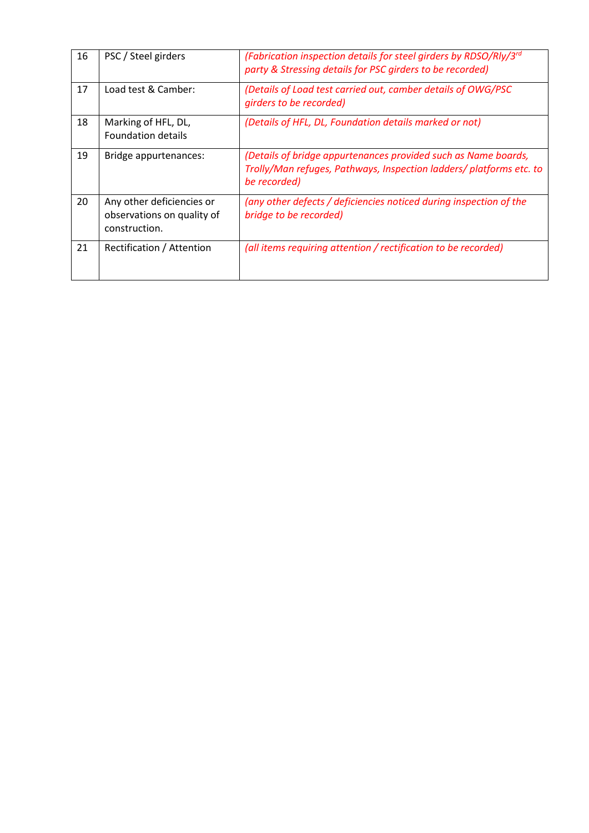| 16 | PSC / Steel girders                                                      | (Fabrication inspection details for steel girders by RDSO/Rly/3rd<br>party & Stressing details for PSC girders to be recorded)                        |
|----|--------------------------------------------------------------------------|-------------------------------------------------------------------------------------------------------------------------------------------------------|
| 17 | Load test & Camber:                                                      | (Details of Load test carried out, camber details of OWG/PSC<br>girders to be recorded)                                                               |
| 18 | Marking of HFL, DL,<br><b>Foundation details</b>                         | (Details of HFL, DL, Foundation details marked or not)                                                                                                |
| 19 | Bridge appurtenances:                                                    | (Details of bridge appurtenances provided such as Name boards,<br>Trolly/Man refuges, Pathways, Inspection ladders/ platforms etc. to<br>be recorded) |
| 20 | Any other deficiencies or<br>observations on quality of<br>construction. | (any other defects / deficiencies noticed during inspection of the<br>bridge to be recorded)                                                          |
| 21 | Rectification / Attention                                                | (all items requiring attention / rectification to be recorded)                                                                                        |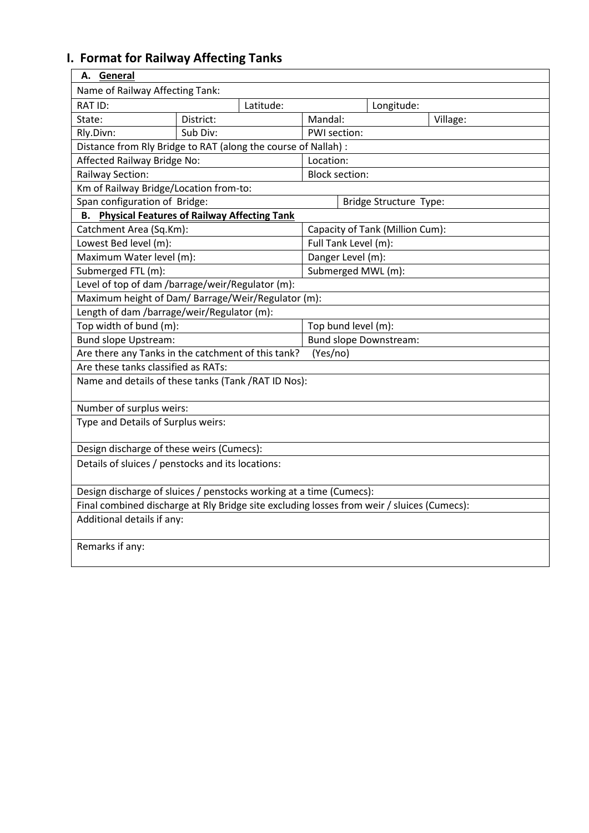# **I. Format for Railway Affecting Tanks**

| A. General                                                                                 |           |           |                       |  |                                 |          |
|--------------------------------------------------------------------------------------------|-----------|-----------|-----------------------|--|---------------------------------|----------|
| Name of Railway Affecting Tank:                                                            |           |           |                       |  |                                 |          |
| RAT ID:                                                                                    |           | Latitude: |                       |  | Longitude:                      |          |
| State:                                                                                     | District: |           | Mandal:               |  |                                 | Village: |
| Rly.Divn:                                                                                  | Sub Div:  |           | PWI section:          |  |                                 |          |
| Distance from Rly Bridge to RAT (along the course of Nallah) :                             |           |           |                       |  |                                 |          |
| Affected Railway Bridge No:                                                                |           |           | Location:             |  |                                 |          |
| Railway Section:                                                                           |           |           | <b>Block section:</b> |  |                                 |          |
| Km of Railway Bridge/Location from-to:                                                     |           |           |                       |  |                                 |          |
| Span configuration of Bridge:                                                              |           |           |                       |  | <b>Bridge Structure Type:</b>   |          |
| <b>Physical Features of Railway Affecting Tank</b><br>В.                                   |           |           |                       |  |                                 |          |
| Catchment Area (Sq.Km):                                                                    |           |           |                       |  | Capacity of Tank (Million Cum): |          |
| Lowest Bed level (m):                                                                      |           |           | Full Tank Level (m):  |  |                                 |          |
| Maximum Water level (m):                                                                   |           |           | Danger Level (m):     |  |                                 |          |
| Submerged FTL (m):                                                                         |           |           |                       |  | Submerged MWL (m):              |          |
| Level of top of dam /barrage/weir/Regulator (m):                                           |           |           |                       |  |                                 |          |
| Maximum height of Dam/ Barrage/Weir/Regulator (m):                                         |           |           |                       |  |                                 |          |
| Length of dam /barrage/weir/Regulator (m):                                                 |           |           |                       |  |                                 |          |
| Top width of bund (m):                                                                     |           |           | Top bund level (m):   |  |                                 |          |
| <b>Bund slope Upstream:</b>                                                                |           |           |                       |  | <b>Bund slope Downstream:</b>   |          |
| Are there any Tanks in the catchment of this tank?                                         |           |           | (Yes/no)              |  |                                 |          |
| Are these tanks classified as RATs:                                                        |           |           |                       |  |                                 |          |
| Name and details of these tanks (Tank / RAT ID Nos):                                       |           |           |                       |  |                                 |          |
|                                                                                            |           |           |                       |  |                                 |          |
| Number of surplus weirs:                                                                   |           |           |                       |  |                                 |          |
| Type and Details of Surplus weirs:                                                         |           |           |                       |  |                                 |          |
| Design discharge of these weirs (Cumecs):                                                  |           |           |                       |  |                                 |          |
| Details of sluices / penstocks and its locations:                                          |           |           |                       |  |                                 |          |
|                                                                                            |           |           |                       |  |                                 |          |
| Design discharge of sluices / penstocks working at a time (Cumecs):                        |           |           |                       |  |                                 |          |
| Final combined discharge at Rly Bridge site excluding losses from weir / sluices (Cumecs): |           |           |                       |  |                                 |          |
| Additional details if any:                                                                 |           |           |                       |  |                                 |          |
| Remarks if any:                                                                            |           |           |                       |  |                                 |          |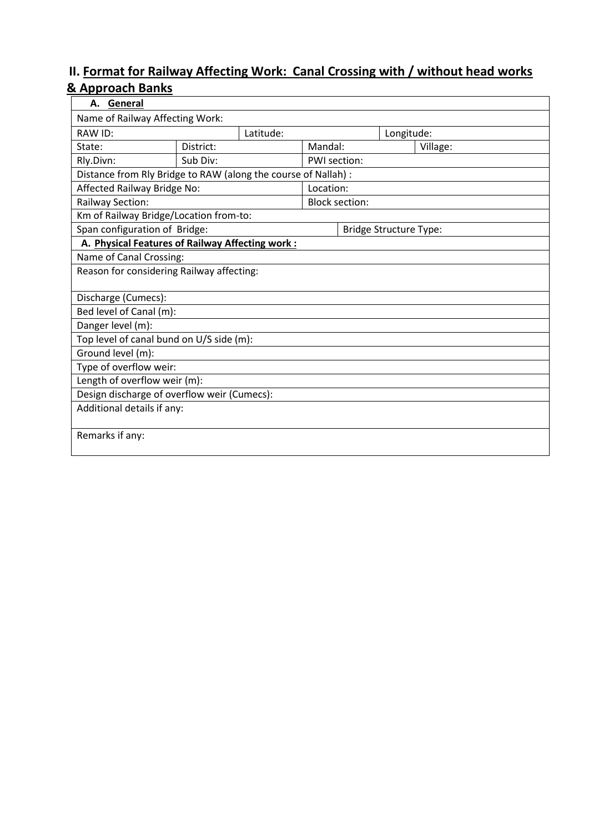### **II. Format for Railway Affecting Work: Canal Crossing with / without head works & Approach Banks**

| A. General                                                     |                        |           |              |                               |            |          |
|----------------------------------------------------------------|------------------------|-----------|--------------|-------------------------------|------------|----------|
| Name of Railway Affecting Work:                                |                        |           |              |                               |            |          |
| RAW ID:                                                        |                        | Latitude: |              |                               | Longitude: |          |
| State:                                                         | District:              |           | Mandal:      |                               |            | Village: |
| Rly.Divn:                                                      | Sub Div:               |           | PWI section: |                               |            |          |
| Distance from Rly Bridge to RAW (along the course of Nallah) : |                        |           |              |                               |            |          |
| Affected Railway Bridge No:                                    |                        |           | Location:    |                               |            |          |
| Railway Section:                                               |                        |           |              | <b>Block section:</b>         |            |          |
| Km of Railway Bridge/Location from-to:                         |                        |           |              |                               |            |          |
| Span configuration of Bridge:                                  |                        |           |              | <b>Bridge Structure Type:</b> |            |          |
| A. Physical Features of Railway Affecting work:                |                        |           |              |                               |            |          |
| Name of Canal Crossing:                                        |                        |           |              |                               |            |          |
| Reason for considering Railway affecting:                      |                        |           |              |                               |            |          |
|                                                                |                        |           |              |                               |            |          |
| Discharge (Cumecs):                                            |                        |           |              |                               |            |          |
| Bed level of Canal (m):                                        |                        |           |              |                               |            |          |
| Danger level (m):                                              |                        |           |              |                               |            |          |
| Top level of canal bund on U/S side (m):                       |                        |           |              |                               |            |          |
| Ground level (m):                                              |                        |           |              |                               |            |          |
|                                                                | Type of overflow weir: |           |              |                               |            |          |
| Length of overflow weir (m):                                   |                        |           |              |                               |            |          |
| Design discharge of overflow weir (Cumecs):                    |                        |           |              |                               |            |          |
| Additional details if any:                                     |                        |           |              |                               |            |          |
| Remarks if any:                                                |                        |           |              |                               |            |          |
|                                                                |                        |           |              |                               |            |          |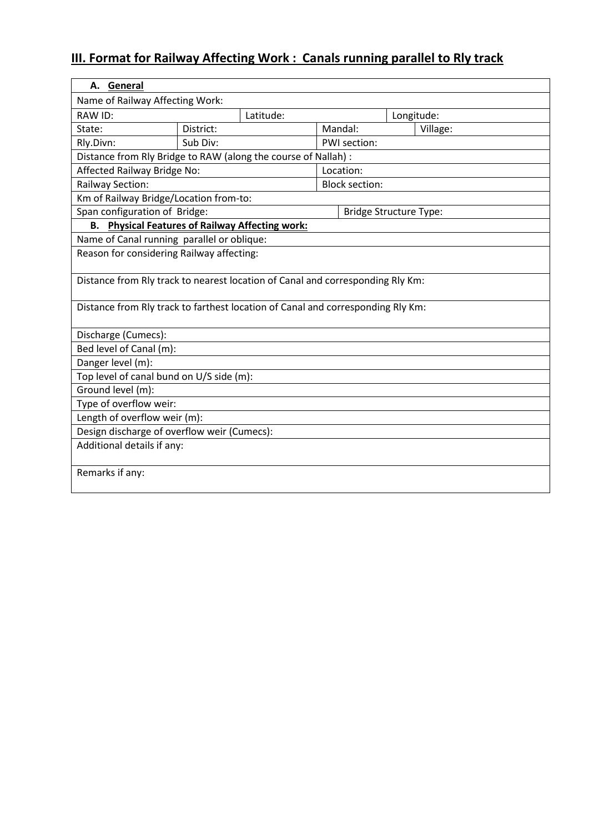# **III. Format for Railway Affecting Work : Canals running parallel to Rly track**

| A. General                                                                      |           |  |  |                               |  |          |  |
|---------------------------------------------------------------------------------|-----------|--|--|-------------------------------|--|----------|--|
| Name of Railway Affecting Work:                                                 |           |  |  |                               |  |          |  |
| <b>RAW ID:</b>                                                                  | Latitude: |  |  | Longitude:                    |  |          |  |
| State:                                                                          | District: |  |  | Mandal:                       |  | Village: |  |
| Rly.Divn:                                                                       | Sub Div:  |  |  | PWI section:                  |  |          |  |
| Distance from Rly Bridge to RAW (along the course of Nallah) :                  |           |  |  |                               |  |          |  |
| Affected Railway Bridge No:                                                     |           |  |  | Location:                     |  |          |  |
| Railway Section:                                                                |           |  |  | <b>Block section:</b>         |  |          |  |
| Km of Railway Bridge/Location from-to:                                          |           |  |  |                               |  |          |  |
| Span configuration of Bridge:                                                   |           |  |  | <b>Bridge Structure Type:</b> |  |          |  |
| <b>Physical Features of Railway Affecting work:</b><br><b>B.</b>                |           |  |  |                               |  |          |  |
| Name of Canal running parallel or oblique:                                      |           |  |  |                               |  |          |  |
| Reason for considering Railway affecting:                                       |           |  |  |                               |  |          |  |
|                                                                                 |           |  |  |                               |  |          |  |
| Distance from Rly track to nearest location of Canal and corresponding Rly Km:  |           |  |  |                               |  |          |  |
|                                                                                 |           |  |  |                               |  |          |  |
| Distance from Rly track to farthest location of Canal and corresponding Rly Km: |           |  |  |                               |  |          |  |
| Discharge (Cumecs):                                                             |           |  |  |                               |  |          |  |
| Bed level of Canal (m):                                                         |           |  |  |                               |  |          |  |
| Danger level (m):                                                               |           |  |  |                               |  |          |  |
| Top level of canal bund on U/S side (m):                                        |           |  |  |                               |  |          |  |
| Ground level (m):                                                               |           |  |  |                               |  |          |  |
| Type of overflow weir:                                                          |           |  |  |                               |  |          |  |
| Length of overflow weir (m):                                                    |           |  |  |                               |  |          |  |
| Design discharge of overflow weir (Cumecs):                                     |           |  |  |                               |  |          |  |
| Additional details if any:                                                      |           |  |  |                               |  |          |  |
| Remarks if any:                                                                 |           |  |  |                               |  |          |  |
|                                                                                 |           |  |  |                               |  |          |  |